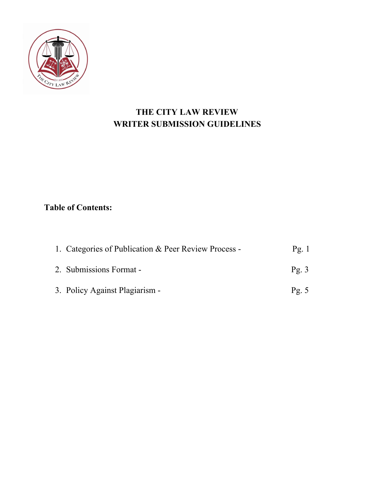

# **THE CITY LAW REVIEW WRITER SUBMISSION GUIDELINES**

# **Table of Contents:**

| 1. Categories of Publication & Peer Review Process - | Pg.1            |
|------------------------------------------------------|-----------------|
| 2. Submissions Format -                              | $\text{Pg. } 3$ |
| 3. Policy Against Plagiarism -                       | $\text{Pg. } 5$ |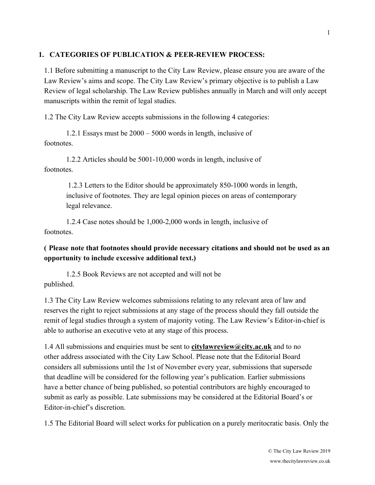### **1. CATEGORIES OF PUBLICATION & PEER-REVIEW PROCESS:**

1.1 Before submitting a manuscript to the City Law Review, please ensure you are aware of the Law Review's aims and scope. The City Law Review's primary objective is to publish a Law Review of legal scholarship. The Law Review publishes annually in March and will only accept manuscripts within the remit of legal studies.

1.2 The City Law Review accepts submissions in the following 4 categories:

1.2.1 Essays must be 2000 – 5000 words in length, inclusive of footnotes.

1.2.2 Articles should be 5001-10,000 words in length, inclusive of footnotes.

> 1.2.3 Letters to the Editor should be approximately 850-1000 words in length, inclusive of footnotes. They are legal opinion pieces on areas of contemporary legal relevance.

1.2.4 Case notes should be 1,000-2,000 words in length, inclusive of footnotes.

## **( Please note that footnotes should provide necessary citations and should not be used as an opportunity to include excessive additional text.)**

1.2.5 Book Reviews are not accepted and will not be published.

1.3 The City Law Review welcomes submissions relating to any relevant area of law and reserves the right to reject submissions at any stage of the process should they fall outside the remit of legal studies through a system of majority voting. The Law Review's Editor-in-chief is able to authorise an executive veto at any stage of this process.

1.4 All submissions and enquiries must be sent to **citylawreview@city.ac.uk** and to no other address associated with the City Law School. Please note that the Editorial Board considers all submissions until the 1st of November every year, submissions that supersede that deadline will be considered for the following year's publication. Earlier submissions have a better chance of being published, so potential contributors are highly encouraged to submit as early as possible. Late submissions may be considered at the Editorial Board's or Editor-in-chief's discretion.

1.5 The Editorial Board will select works for publication on a purely meritocratic basis. Only the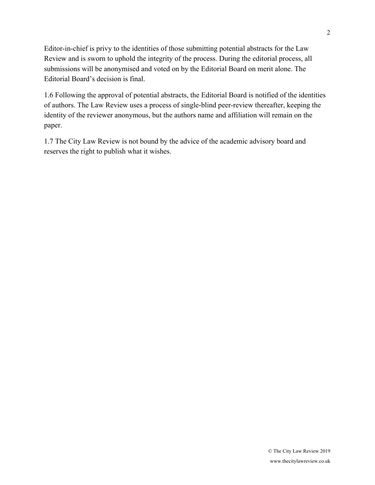Editor-in-chief is privy to the identities of those submitting potential abstracts for the Law Review and is sworn to uphold the integrity of the process. During the editorial process, all submissions will be anonymised and voted on by the Editorial Board on merit alone. The Editorial Board's decision is final.

1.6 Following the approval of potential abstracts, the Editorial Board is notified of the identities of authors. The Law Review uses a process of single-blind peer-review thereafter, keeping the identity of the reviewer anonymous, but the authors name and affiliation will remain on the paper.

1.7 The City Law Review is not bound by the advice of the academic advisory board and reserves the right to publish what it wishes.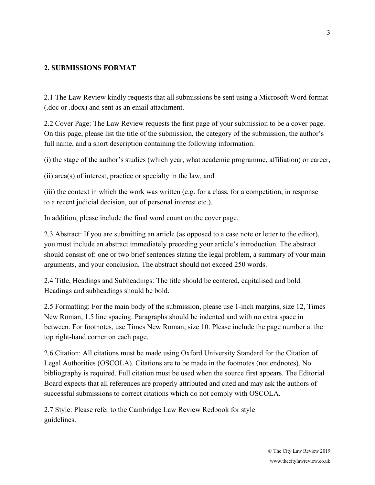#### **2. SUBMISSIONS FORMAT**

2.1 The Law Review kindly requests that all submissions be sent using a Microsoft Word format (.doc or .docx) and sent as an email attachment.

2.2 Cover Page: The Law Review requests the first page of your submission to be a cover page. On this page, please list the title of the submission, the category of the submission, the author's full name, and a short description containing the following information:

(i) the stage of the author's studies (which year, what academic programme, affiliation) or career,

(ii) area(s) of interest, practice or specialty in the law, and

(iii) the context in which the work was written (e.g. for a class, for a competition, in response to a recent judicial decision, out of personal interest etc.).

In addition, please include the final word count on the cover page.

2.3 Abstract: If you are submitting an article (as opposed to a case note or letter to the editor), you must include an abstract immediately preceding your article's introduction. The abstract should consist of: one or two brief sentences stating the legal problem, a summary of your main arguments, and your conclusion. The abstract should not exceed 250 words.

2.4 Title, Headings and Subheadings: The title should be centered, capitalised and bold. Headings and subheadings should be bold.

2.5 Formatting: For the main body of the submission, please use 1-inch margins, size 12, Times New Roman, 1.5 line spacing. Paragraphs should be indented and with no extra space in between. For footnotes, use Times New Roman, size 10. Please include the page number at the top right-hand corner on each page.

2.6 Citation: All citations must be made using Oxford University Standard for the Citation of Legal Authorities (OSCOLA). Citations are to be made in the footnotes (not endnotes). No bibliography is required. Full citation must be used when the source first appears. The Editorial Board expects that all references are properly attributed and cited and may ask the authors of successful submissions to correct citations which do not comply with OSCOLA.

2.7 Style: Please refer to the Cambridge Law Review Redbook for style guidelines.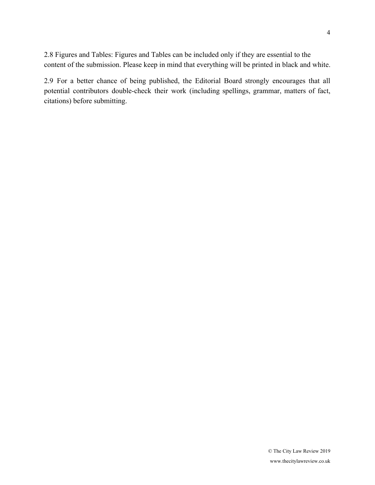2.8 Figures and Tables: Figures and Tables can be included only if they are essential to the content of the submission. Please keep in mind that everything will be printed in black and white.

2.9 For a better chance of being published, the Editorial Board strongly encourages that all potential contributors double-check their work (including spellings, grammar, matters of fact, citations) before submitting.